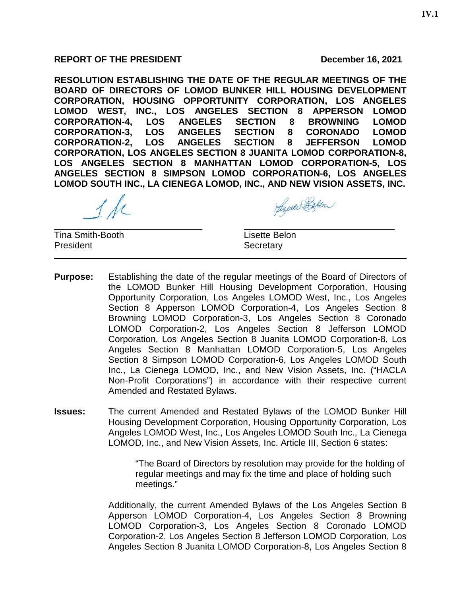## REPORT OF THE PRESIDENT **DECEMBER 16, 2021**

**RESOLUTION ESTABLISHING THE DATE OF THE REGULAR MEETINGS OF THE BOARD OF DIRECTORS OF LOMOD BUNKER HILL HOUSING DEVELOPMENT CORPORATION, HOUSING OPPORTUNITY CORPORATION, LOS ANGELES LOMOD WEST, INC., LOS ANGELES SECTION 8 APPERSON LOMOD CORPORATION-4, LOS ANGELES SECTION 8 BROWNING LOMOD CORPORATION-3, LOS ANGELES SECTION 8 CORONADO LOMOD CORPORATION-2, LOS ANGELES SECTION 8 JEFFERSON LOMOD CORPORATION, LOS ANGELES SECTION 8 JUANITA LOMOD CORPORATION-8, LOS ANGELES SECTION 8 MANHATTAN LOMOD CORPORATION-5, LOS ANGELES SECTION 8 SIMPSON LOMOD CORPORATION-6, LOS ANGELES LOMOD SOUTH INC., LA CIENEGA LOMOD, INC., AND NEW VISION ASSETS, INC.**

 $\overline{\phantom{a}}$  , and the contribution of the contribution of  $\overline{\phantom{a}}$  , and  $\overline{\phantom{a}}$  , and  $\overline{\phantom{a}}$  , and  $\overline{\phantom{a}}$  , and  $\overline{\phantom{a}}$  , and  $\overline{\phantom{a}}$  , and  $\overline{\phantom{a}}$  , and  $\overline{\phantom{a}}$  , and  $\overline{\phantom{a}}$  , and **Tina Smith-Booth Lisette Belon** President **Secretary** 

Lizerco Below

- **Purpose:** Establishing the date of the regular meetings of the Board of Directors of the LOMOD Bunker Hill Housing Development Corporation, Housing Opportunity Corporation, Los Angeles LOMOD West, Inc., Los Angeles Section 8 Apperson LOMOD Corporation-4, Los Angeles Section 8 Browning LOMOD Corporation-3, Los Angeles Section 8 Coronado LOMOD Corporation-2, Los Angeles Section 8 Jefferson LOMOD Corporation, Los Angeles Section 8 Juanita LOMOD Corporation-8, Los Angeles Section 8 Manhattan LOMOD Corporation-5, Los Angeles Section 8 Simpson LOMOD Corporation-6, Los Angeles LOMOD South Inc., La Cienega LOMOD, Inc., and New Vision Assets, Inc. ("HACLA Non-Profit Corporations") in accordance with their respective current Amended and Restated Bylaws.
- **Issues:** The current Amended and Restated Bylaws of the LOMOD Bunker Hill Housing Development Corporation, Housing Opportunity Corporation, Los Angeles LOMOD West, Inc., Los Angeles LOMOD South Inc., La Cienega LOMOD, Inc., and New Vision Assets, Inc. Article III, Section 6 states:

"The Board of Directors by resolution may provide for the holding of regular meetings and may fix the time and place of holding such meetings."

Additionally, the current Amended Bylaws of the Los Angeles Section 8 Apperson LOMOD Corporation-4, Los Angeles Section 8 Browning LOMOD Corporation-3, Los Angeles Section 8 Coronado LOMOD Corporation-2, Los Angeles Section 8 Jefferson LOMOD Corporation, Los Angeles Section 8 Juanita LOMOD Corporation-8, Los Angeles Section 8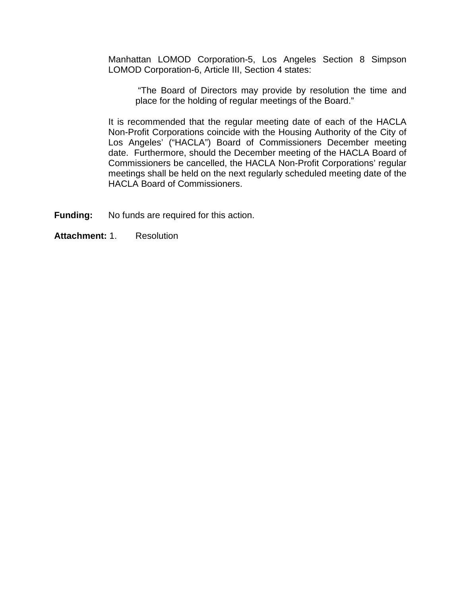Manhattan LOMOD Corporation-5, Los Angeles Section 8 Simpson LOMOD Corporation-6, Article III, Section 4 states:

"The Board of Directors may provide by resolution the time and place for the holding of regular meetings of the Board."

It is recommended that the regular meeting date of each of the HACLA Non-Profit Corporations coincide with the Housing Authority of the City of Los Angeles' ("HACLA") Board of Commissioners December meeting date. Furthermore, should the December meeting of the HACLA Board of Commissioners be cancelled, the HACLA Non-Profit Corporations' regular meetings shall be held on the next regularly scheduled meeting date of the HACLA Board of Commissioners.

**Funding:** No funds are required for this action.

## **Attachment:** 1. Resolution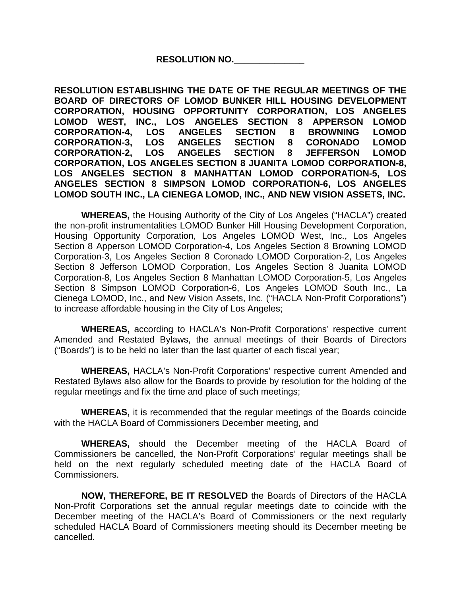## **RESOLUTION NO.\_\_\_\_\_\_\_\_\_\_\_\_\_\_**

**RESOLUTION ESTABLISHING THE DATE OF THE REGULAR MEETINGS OF THE BOARD OF DIRECTORS OF LOMOD BUNKER HILL HOUSING DEVELOPMENT CORPORATION, HOUSING OPPORTUNITY CORPORATION, LOS ANGELES LOMOD WEST, INC., LOS ANGELES SECTION 8 APPERSON LOMOD CORPORATION-4, LOS ANGELES SECTION 8 BROWNING LOMOD CORPORATION-3, LOS ANGELES SECTION 8 CORONADO LOMOD CORPORATION-2, LOS ANGELES SECTION 8 JEFFERSON LOMOD CORPORATION, LOS ANGELES SECTION 8 JUANITA LOMOD CORPORATION-8, LOS ANGELES SECTION 8 MANHATTAN LOMOD CORPORATION-5, LOS ANGELES SECTION 8 SIMPSON LOMOD CORPORATION-6, LOS ANGELES LOMOD SOUTH INC., LA CIENEGA LOMOD, INC., AND NEW VISION ASSETS, INC.**

**WHEREAS,** the Housing Authority of the City of Los Angeles ("HACLA") created the non-profit instrumentalities LOMOD Bunker Hill Housing Development Corporation, Housing Opportunity Corporation, Los Angeles LOMOD West, Inc., Los Angeles Section 8 Apperson LOMOD Corporation-4, Los Angeles Section 8 Browning LOMOD Corporation-3, Los Angeles Section 8 Coronado LOMOD Corporation-2, Los Angeles Section 8 Jefferson LOMOD Corporation, Los Angeles Section 8 Juanita LOMOD Corporation-8, Los Angeles Section 8 Manhattan LOMOD Corporation-5, Los Angeles Section 8 Simpson LOMOD Corporation-6, Los Angeles LOMOD South Inc., La Cienega LOMOD, Inc., and New Vision Assets, Inc. ("HACLA Non-Profit Corporations") to increase affordable housing in the City of Los Angeles;

**WHEREAS,** according to HACLA's Non-Profit Corporations' respective current Amended and Restated Bylaws, the annual meetings of their Boards of Directors ("Boards") is to be held no later than the last quarter of each fiscal year;

**WHEREAS,** HACLA's Non-Profit Corporations' respective current Amended and Restated Bylaws also allow for the Boards to provide by resolution for the holding of the regular meetings and fix the time and place of such meetings;

**WHEREAS,** it is recommended that the regular meetings of the Boards coincide with the HACLA Board of Commissioners December meeting, and

**WHEREAS,** should the December meeting of the HACLA Board of Commissioners be cancelled, the Non-Profit Corporations' regular meetings shall be held on the next regularly scheduled meeting date of the HACLA Board of Commissioners.

**NOW, THEREFORE, BE IT RESOLVED** the Boards of Directors of the HACLA Non-Profit Corporations set the annual regular meetings date to coincide with the December meeting of the HACLA's Board of Commissioners or the next regularly scheduled HACLA Board of Commissioners meeting should its December meeting be cancelled.